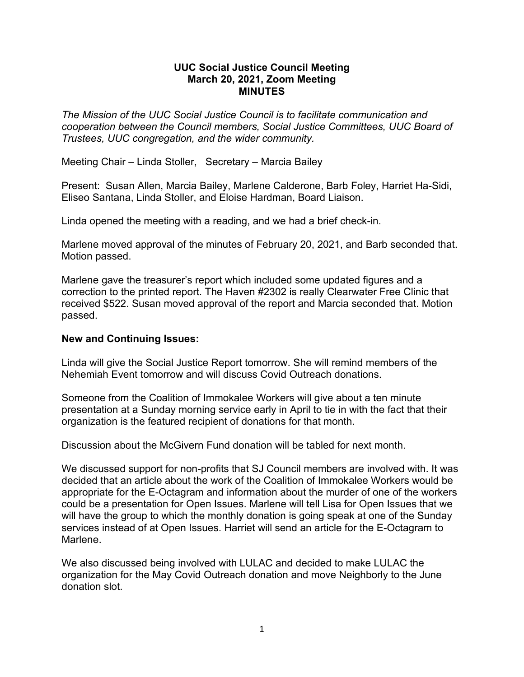## **UUC Social Justice Council Meeting March 20, 2021, Zoom Meeting MINUTES**

*The Mission of the UUC Social Justice Council is to facilitate communication and cooperation between the Council members, Social Justice Committees, UUC Board of Trustees, UUC congregation, and the wider community.*

Meeting Chair – Linda Stoller, Secretary – Marcia Bailey

Present: Susan Allen, Marcia Bailey, Marlene Calderone, Barb Foley, Harriet Ha-Sidi, Eliseo Santana, Linda Stoller, and Eloise Hardman, Board Liaison.

Linda opened the meeting with a reading, and we had a brief check-in.

Marlene moved approval of the minutes of February 20, 2021, and Barb seconded that. Motion passed.

Marlene gave the treasurer's report which included some updated figures and a correction to the printed report. The Haven #2302 is really Clearwater Free Clinic that received \$522. Susan moved approval of the report and Marcia seconded that. Motion passed.

## **New and Continuing Issues:**

Linda will give the Social Justice Report tomorrow. She will remind members of the Nehemiah Event tomorrow and will discuss Covid Outreach donations.

Someone from the Coalition of Immokalee Workers will give about a ten minute presentation at a Sunday morning service early in April to tie in with the fact that their organization is the featured recipient of donations for that month.

Discussion about the McGivern Fund donation will be tabled for next month.

We discussed support for non-profits that SJ Council members are involved with. It was decided that an article about the work of the Coalition of Immokalee Workers would be appropriate for the E-Octagram and information about the murder of one of the workers could be a presentation for Open Issues. Marlene will tell Lisa for Open Issues that we will have the group to which the monthly donation is going speak at one of the Sunday services instead of at Open Issues. Harriet will send an article for the E-Octagram to Marlene.

We also discussed being involved with LULAC and decided to make LULAC the organization for the May Covid Outreach donation and move Neighborly to the June donation slot.